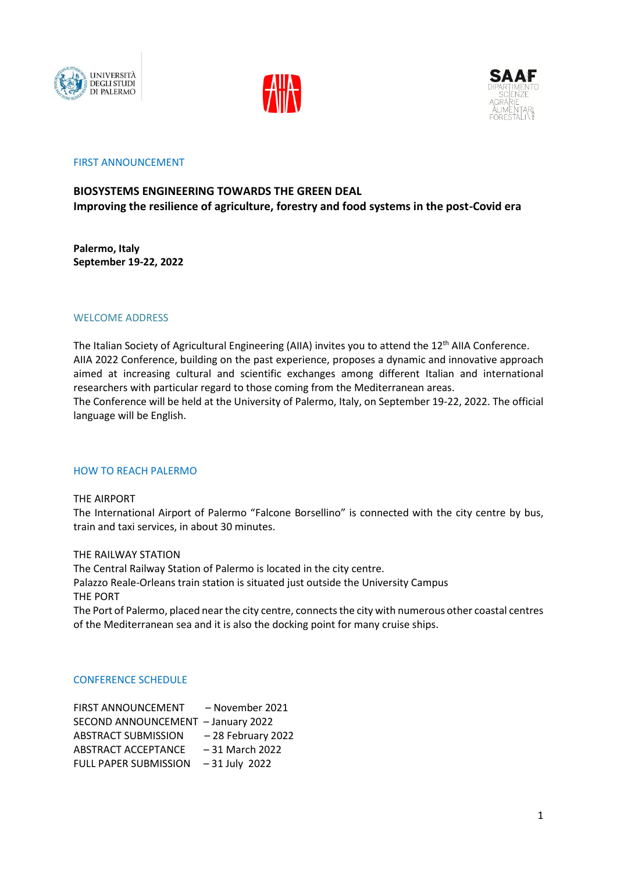





# FIRST ANNOUNCEMENT

# **BIOSYSTEMS ENGINEERING TOWARDS THE GREEN DEAL Improving the resilience of agriculture, forestry and food systems in the post-Covid era**

**Palermo, Italy September 19-22, 2022**

# WELCOME ADDRESS

The Italian Society of Agricultural Engineering (AIIA) invites you to attend the 12<sup>th</sup> AIIA Conference. AIIA 2022 Conference, building on the past experience, proposes a dynamic and innovative approach aimed at increasing cultural and scientific exchanges among different Italian and international researchers with particular regard to those coming from the Mediterranean areas. The Conference will be held at the University of Palermo, Italy, on September 19-22, 2022. The official language will be English.

# HOW TO REACH PALERMO

THE AIRPORT

The International Airport of Palermo "Falcone Borsellino" is connected with the city centre by bus, train and taxi services, in about 30 minutes.

THE RAILWAY STATION

The Central Railway Station of Palermo is located in the city centre.

Palazzo Reale-Orleans train station is situated just outside the University Campus THE PORT

The Port of Palermo, placed near the city centre, connects the city with numerous other coastal centres of the Mediterranean sea and it is also the docking point for many cruise ships.

### CONFERENCE SCHEDULE

FIRST ANNOUNCEMENT – November 2021 SECOND ANNOUNCEMENT – January 2022 ABSTRACT SUBMISSION – 28 February 2022 ABSTRACT ACCEPTANCE – 31 March 2022 FULL PAPER SUBMISSION – 31 July 2022